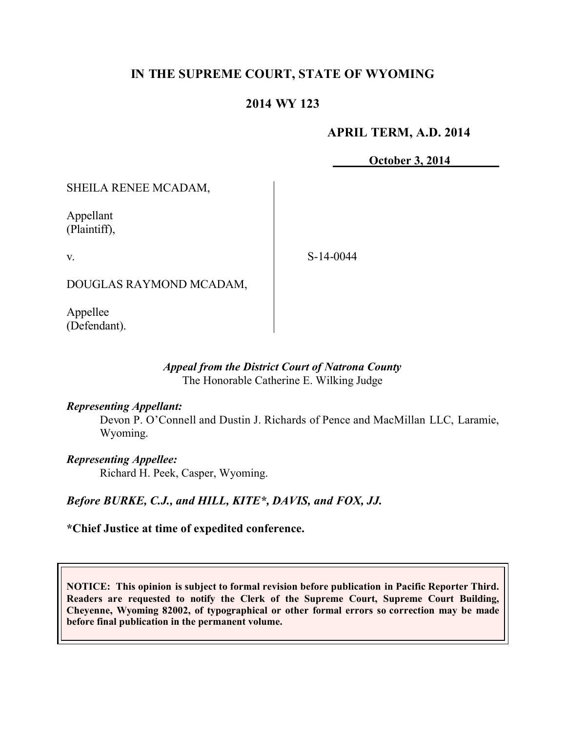# **IN THE SUPREME COURT, STATE OF WYOMING**

# **2014 WY 123**

## **APRIL TERM, A.D. 2014**

**October 3, 2014**

SHEILA RENEE MCADAM,

Appellant (Plaintiff),

v.

S-14-0044

DOUGLAS RAYMOND MCADAM,

Appellee (Defendant).

#### *Appeal from the District Court of Natrona County* The Honorable Catherine E. Wilking Judge

### *Representing Appellant:*

Devon P. O'Connell and Dustin J. Richards of Pence and MacMillan LLC, Laramie, Wyoming.

*Representing Appellee:*

Richard H. Peek, Casper, Wyoming.

# *Before BURKE, C.J., and HILL, KITE\*, DAVIS, and FOX, JJ.*

# **\*Chief Justice at time of expedited conference.**

**NOTICE: This opinion is subject to formal revision before publication in Pacific Reporter Third. Readers are requested to notify the Clerk of the Supreme Court, Supreme Court Building, Cheyenne, Wyoming 82002, of typographical or other formal errors so correction may be made before final publication in the permanent volume.**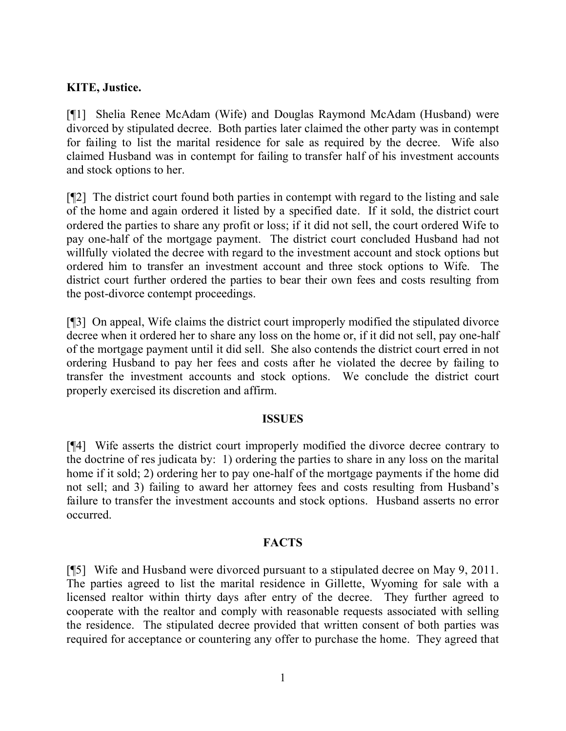# **KITE, Justice.**

[¶1] Shelia Renee McAdam (Wife) and Douglas Raymond McAdam (Husband) were divorced by stipulated decree. Both parties later claimed the other party was in contempt for failing to list the marital residence for sale as required by the decree. Wife also claimed Husband was in contempt for failing to transfer half of his investment accounts and stock options to her.

[¶2] The district court found both parties in contempt with regard to the listing and sale of the home and again ordered it listed by a specified date. If it sold, the district court ordered the parties to share any profit or loss; if it did not sell, the court ordered Wife to pay one-half of the mortgage payment. The district court concluded Husband had not willfully violated the decree with regard to the investment account and stock options but ordered him to transfer an investment account and three stock options to Wife. The district court further ordered the parties to bear their own fees and costs resulting from the post-divorce contempt proceedings.

[¶3] On appeal, Wife claims the district court improperly modified the stipulated divorce decree when it ordered her to share any loss on the home or, if it did not sell, pay one-half of the mortgage payment until it did sell. She also contends the district court erred in not ordering Husband to pay her fees and costs after he violated the decree by failing to transfer the investment accounts and stock options. We conclude the district court properly exercised its discretion and affirm.

#### **ISSUES**

[¶4] Wife asserts the district court improperly modified the divorce decree contrary to the doctrine of res judicata by: 1) ordering the parties to share in any loss on the marital home if it sold; 2) ordering her to pay one-half of the mortgage payments if the home did not sell; and 3) failing to award her attorney fees and costs resulting from Husband's failure to transfer the investment accounts and stock options. Husband asserts no error occurred.

### **FACTS**

[¶5] Wife and Husband were divorced pursuant to a stipulated decree on May 9, 2011. The parties agreed to list the marital residence in Gillette, Wyoming for sale with a licensed realtor within thirty days after entry of the decree. They further agreed to cooperate with the realtor and comply with reasonable requests associated with selling the residence. The stipulated decree provided that written consent of both parties was required for acceptance or countering any offer to purchase the home. They agreed that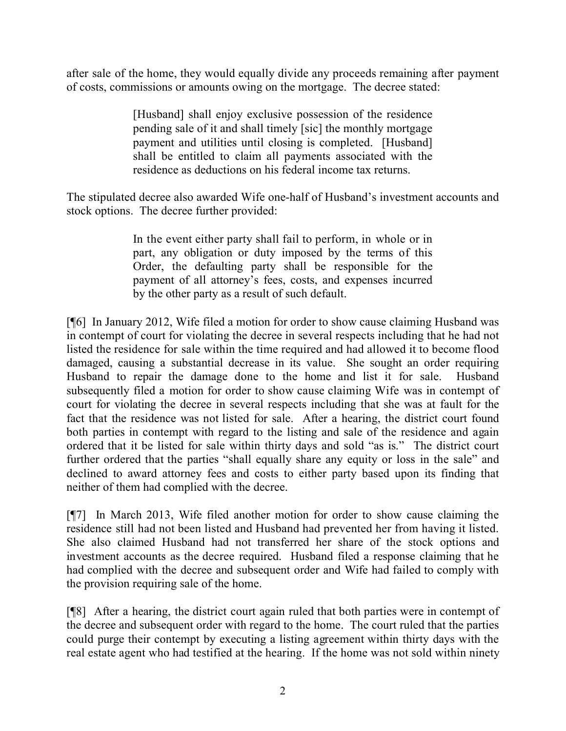after sale of the home, they would equally divide any proceeds remaining after payment of costs, commissions or amounts owing on the mortgage. The decree stated:

> [Husband] shall enjoy exclusive possession of the residence pending sale of it and shall timely [sic] the monthly mortgage payment and utilities until closing is completed. [Husband] shall be entitled to claim all payments associated with the residence as deductions on his federal income tax returns.

The stipulated decree also awarded Wife one-half of Husband's investment accounts and stock options. The decree further provided:

> In the event either party shall fail to perform, in whole or in part, any obligation or duty imposed by the terms of this Order, the defaulting party shall be responsible for the payment of all attorney's fees, costs, and expenses incurred by the other party as a result of such default.

[¶6] In January 2012, Wife filed a motion for order to show cause claiming Husband was in contempt of court for violating the decree in several respects including that he had not listed the residence for sale within the time required and had allowed it to become flood damaged, causing a substantial decrease in its value. She sought an order requiring Husband to repair the damage done to the home and list it for sale. Husband subsequently filed a motion for order to show cause claiming Wife was in contempt of court for violating the decree in several respects including that she was at fault for the fact that the residence was not listed for sale. After a hearing, the district court found both parties in contempt with regard to the listing and sale of the residence and again ordered that it be listed for sale within thirty days and sold "as is." The district court further ordered that the parties "shall equally share any equity or loss in the sale" and declined to award attorney fees and costs to either party based upon its finding that neither of them had complied with the decree.

[¶7] In March 2013, Wife filed another motion for order to show cause claiming the residence still had not been listed and Husband had prevented her from having it listed. She also claimed Husband had not transferred her share of the stock options and investment accounts as the decree required. Husband filed a response claiming that he had complied with the decree and subsequent order and Wife had failed to comply with the provision requiring sale of the home.

[¶8] After a hearing, the district court again ruled that both parties were in contempt of the decree and subsequent order with regard to the home. The court ruled that the parties could purge their contempt by executing a listing agreement within thirty days with the real estate agent who had testified at the hearing. If the home was not sold within ninety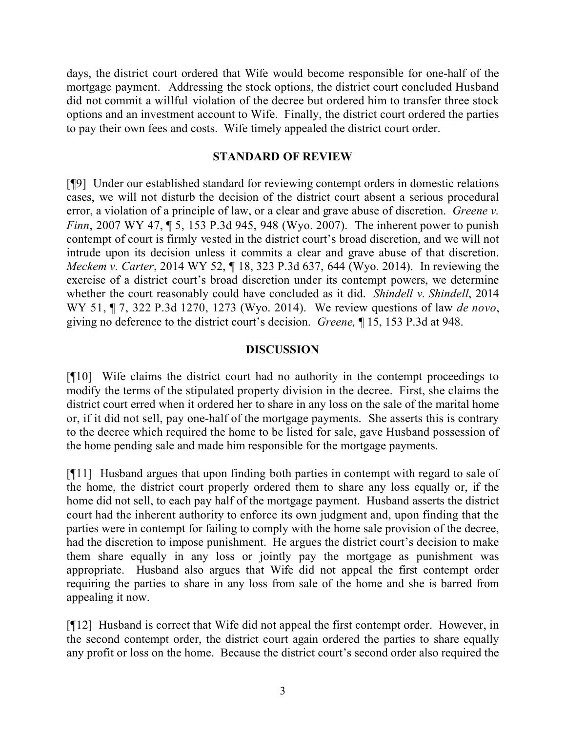days, the district court ordered that Wife would become responsible for one-half of the mortgage payment. Addressing the stock options, the district court concluded Husband did not commit a willful violation of the decree but ordered him to transfer three stock options and an investment account to Wife. Finally, the district court ordered the parties to pay their own fees and costs. Wife timely appealed the district court order.

## **STANDARD OF REVIEW**

[¶9] Under our established standard for reviewing contempt orders in domestic relations cases, we will not disturb the decision of the district court absent a serious procedural error, a violation of a principle of law, or a clear and grave abuse of discretion. *Greene v. Finn*, 2007 WY 47, ¶ 5, 153 P.3d 945, 948 (Wyo. 2007). The inherent power to punish contempt of court is firmly vested in the district court's broad discretion, and we will not intrude upon its decision unless it commits a clear and grave abuse of that discretion. *Meckem v. Carter*, 2014 WY 52, ¶ 18, 323 P.3d 637, 644 (Wyo. 2014). In reviewing the exercise of a district court's broad discretion under its contempt powers, we determine whether the court reasonably could have concluded as it did. *Shindell v. Shindell*, 2014 WY 51, ¶ 7, 322 P.3d 1270, 1273 (Wyo. 2014). We review questions of law *de novo*, giving no deference to the district court's decision. *Greene,* ¶ 15, 153 P.3d at 948.

## **DISCUSSION**

[¶10] Wife claims the district court had no authority in the contempt proceedings to modify the terms of the stipulated property division in the decree. First, she claims the district court erred when it ordered her to share in any loss on the sale of the marital home or, if it did not sell, pay one-half of the mortgage payments. She asserts this is contrary to the decree which required the home to be listed for sale, gave Husband possession of the home pending sale and made him responsible for the mortgage payments.

[¶11] Husband argues that upon finding both parties in contempt with regard to sale of the home, the district court properly ordered them to share any loss equally or, if the home did not sell, to each pay half of the mortgage payment. Husband asserts the district court had the inherent authority to enforce its own judgment and, upon finding that the parties were in contempt for failing to comply with the home sale provision of the decree, had the discretion to impose punishment. He argues the district court's decision to make them share equally in any loss or jointly pay the mortgage as punishment was appropriate. Husband also argues that Wife did not appeal the first contempt order requiring the parties to share in any loss from sale of the home and she is barred from appealing it now.

[¶12] Husband is correct that Wife did not appeal the first contempt order. However, in the second contempt order, the district court again ordered the parties to share equally any profit or loss on the home. Because the district court's second order also required the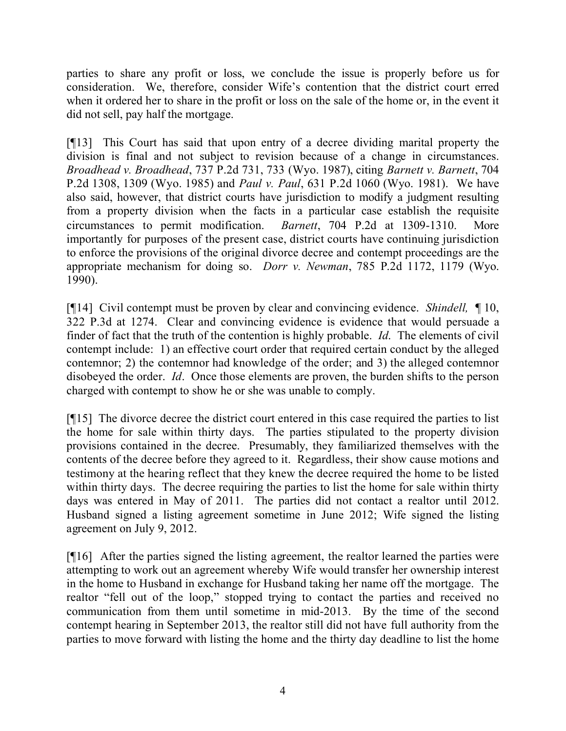parties to share any profit or loss, we conclude the issue is properly before us for consideration. We, therefore, consider Wife's contention that the district court erred when it ordered her to share in the profit or loss on the sale of the home or, in the event it did not sell, pay half the mortgage.

[¶13] This Court has said that upon entry of a decree dividing marital property the division is final and not subject to revision because of a change in circumstances. *Broadhead v. Broadhead*, 737 P.2d 731, 733 (Wyo. 1987), citing *Barnett v. Barnett*, 704 P.2d 1308, 1309 (Wyo. 1985) and *Paul v. Paul*, 631 P.2d 1060 (Wyo. 1981). We have also said, however, that district courts have jurisdiction to modify a judgment resulting from a property division when the facts in a particular case establish the requisite circumstances to permit modification. *Barnett*, 704 P.2d at 1309-1310. More importantly for purposes of the present case, district courts have continuing jurisdiction to enforce the provisions of the original divorce decree and contempt proceedings are the appropriate mechanism for doing so. *Dorr v. Newman*, 785 P.2d 1172, 1179 (Wyo. 1990).

[¶14] Civil contempt must be proven by clear and convincing evidence. *Shindell,* ¶ 10, 322 P.3d at 1274. Clear and convincing evidence is evidence that would persuade a finder of fact that the truth of the contention is highly probable. *Id*. The elements of civil contempt include: 1) an effective court order that required certain conduct by the alleged contemnor; 2) the contemnor had knowledge of the order; and 3) the alleged contemnor disobeyed the order. *Id*. Once those elements are proven, the burden shifts to the person charged with contempt to show he or she was unable to comply.

[¶15] The divorce decree the district court entered in this case required the parties to list the home for sale within thirty days. The parties stipulated to the property division provisions contained in the decree. Presumably, they familiarized themselves with the contents of the decree before they agreed to it. Regardless, their show cause motions and testimony at the hearing reflect that they knew the decree required the home to be listed within thirty days. The decree requiring the parties to list the home for sale within thirty days was entered in May of 2011. The parties did not contact a realtor until 2012. Husband signed a listing agreement sometime in June 2012; Wife signed the listing agreement on July 9, 2012.

[¶16] After the parties signed the listing agreement, the realtor learned the parties were attempting to work out an agreement whereby Wife would transfer her ownership interest in the home to Husband in exchange for Husband taking her name off the mortgage. The realtor "fell out of the loop," stopped trying to contact the parties and received no communication from them until sometime in mid-2013. By the time of the second contempt hearing in September 2013, the realtor still did not have full authority from the parties to move forward with listing the home and the thirty day deadline to list the home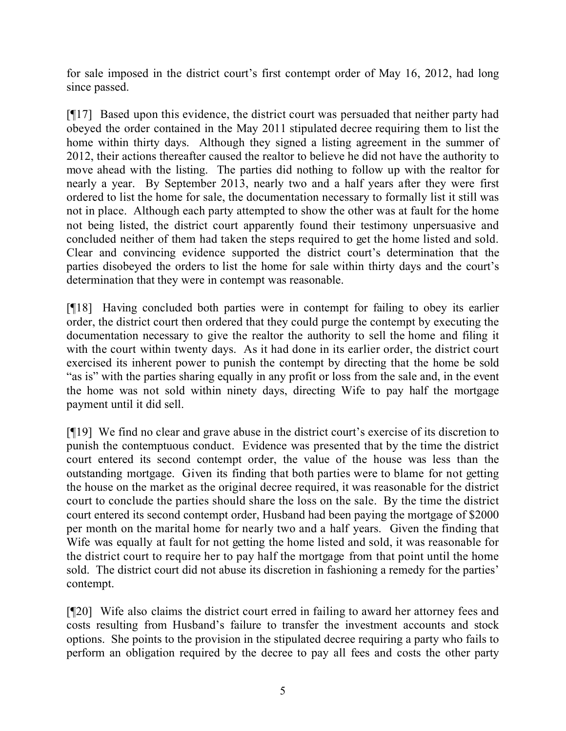for sale imposed in the district court's first contempt order of May 16, 2012, had long since passed.

[¶17] Based upon this evidence, the district court was persuaded that neither party had obeyed the order contained in the May 2011 stipulated decree requiring them to list the home within thirty days. Although they signed a listing agreement in the summer of 2012, their actions thereafter caused the realtor to believe he did not have the authority to move ahead with the listing. The parties did nothing to follow up with the realtor for nearly a year. By September 2013, nearly two and a half years after they were first ordered to list the home for sale, the documentation necessary to formally list it still was not in place. Although each party attempted to show the other was at fault for the home not being listed, the district court apparently found their testimony unpersuasive and concluded neither of them had taken the steps required to get the home listed and sold. Clear and convincing evidence supported the district court's determination that the parties disobeyed the orders to list the home for sale within thirty days and the court's determination that they were in contempt was reasonable.

[¶18] Having concluded both parties were in contempt for failing to obey its earlier order, the district court then ordered that they could purge the contempt by executing the documentation necessary to give the realtor the authority to sell the home and filing it with the court within twenty days. As it had done in its earlier order, the district court exercised its inherent power to punish the contempt by directing that the home be sold "as is" with the parties sharing equally in any profit or loss from the sale and, in the event the home was not sold within ninety days, directing Wife to pay half the mortgage payment until it did sell.

[¶19] We find no clear and grave abuse in the district court's exercise of its discretion to punish the contemptuous conduct. Evidence was presented that by the time the district court entered its second contempt order, the value of the house was less than the outstanding mortgage. Given its finding that both parties were to blame for not getting the house on the market as the original decree required, it was reasonable for the district court to conclude the parties should share the loss on the sale. By the time the district court entered its second contempt order, Husband had been paying the mortgage of \$2000 per month on the marital home for nearly two and a half years. Given the finding that Wife was equally at fault for not getting the home listed and sold, it was reasonable for the district court to require her to pay half the mortgage from that point until the home sold. The district court did not abuse its discretion in fashioning a remedy for the parties' contempt.

[¶20] Wife also claims the district court erred in failing to award her attorney fees and costs resulting from Husband's failure to transfer the investment accounts and stock options. She points to the provision in the stipulated decree requiring a party who fails to perform an obligation required by the decree to pay all fees and costs the other party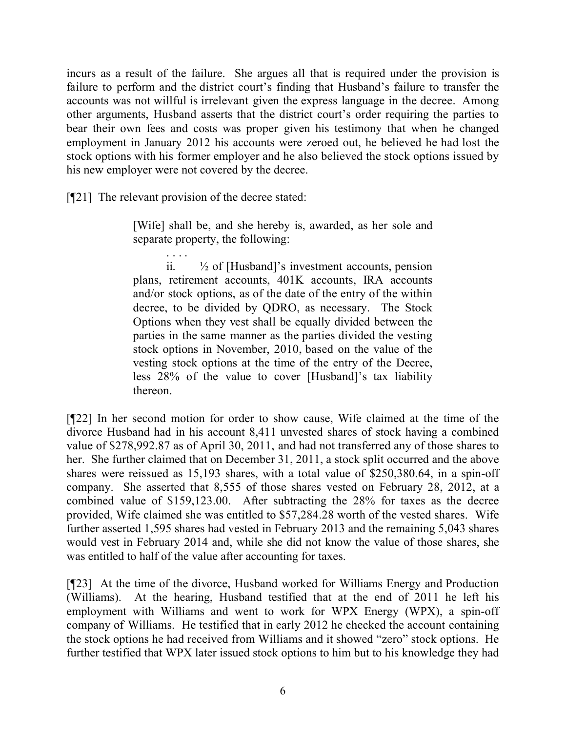incurs as a result of the failure. She argues all that is required under the provision is failure to perform and the district court's finding that Husband's failure to transfer the accounts was not willful is irrelevant given the express language in the decree. Among other arguments, Husband asserts that the district court's order requiring the parties to bear their own fees and costs was proper given his testimony that when he changed employment in January 2012 his accounts were zeroed out, he believed he had lost the stock options with his former employer and he also believed the stock options issued by his new employer were not covered by the decree.

[¶21] The relevant provision of the decree stated:

[Wife] shall be, and she hereby is, awarded, as her sole and separate property, the following:

. . . . ii.  $\frac{1}{2}$  of [Husband]'s investment accounts, pension plans, retirement accounts, 401K accounts, IRA accounts and/or stock options, as of the date of the entry of the within decree, to be divided by QDRO, as necessary. The Stock Options when they vest shall be equally divided between the parties in the same manner as the parties divided the vesting stock options in November, 2010, based on the value of the vesting stock options at the time of the entry of the Decree, less 28% of the value to cover [Husband]'s tax liability thereon.

[¶22] In her second motion for order to show cause, Wife claimed at the time of the divorce Husband had in his account 8,411 unvested shares of stock having a combined value of \$278,992.87 as of April 30, 2011, and had not transferred any of those shares to her. She further claimed that on December 31, 2011, a stock split occurred and the above shares were reissued as 15,193 shares, with a total value of \$250,380.64, in a spin-off company. She asserted that 8,555 of those shares vested on February 28, 2012, at a combined value of \$159,123.00. After subtracting the 28% for taxes as the decree provided, Wife claimed she was entitled to \$57,284.28 worth of the vested shares. Wife further asserted 1,595 shares had vested in February 2013 and the remaining 5,043 shares would vest in February 2014 and, while she did not know the value of those shares, she was entitled to half of the value after accounting for taxes.

[¶23] At the time of the divorce, Husband worked for Williams Energy and Production (Williams). At the hearing, Husband testified that at the end of 2011 he left his employment with Williams and went to work for WPX Energy (WPX), a spin-off company of Williams. He testified that in early 2012 he checked the account containing the stock options he had received from Williams and it showed "zero" stock options. He further testified that WPX later issued stock options to him but to his knowledge they had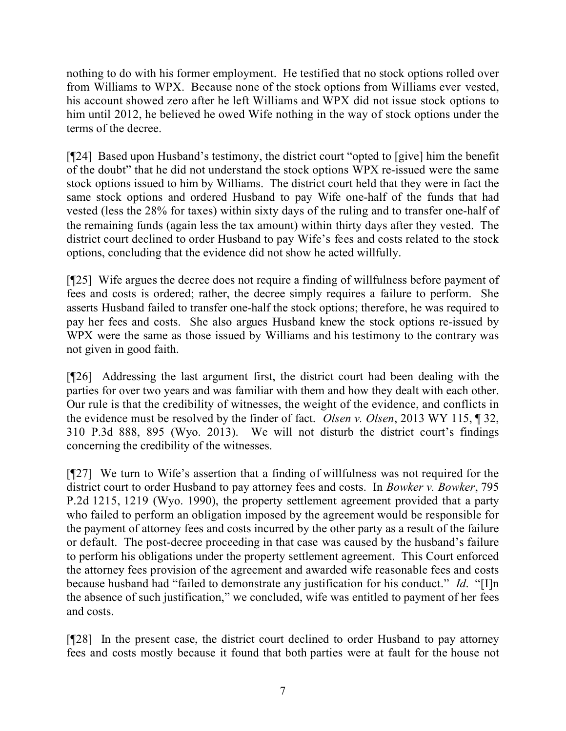nothing to do with his former employment. He testified that no stock options rolled over from Williams to WPX. Because none of the stock options from Williams ever vested, his account showed zero after he left Williams and WPX did not issue stock options to him until 2012, he believed he owed Wife nothing in the way of stock options under the terms of the decree.

[¶24] Based upon Husband's testimony, the district court "opted to [give] him the benefit of the doubt" that he did not understand the stock options WPX re-issued were the same stock options issued to him by Williams. The district court held that they were in fact the same stock options and ordered Husband to pay Wife one-half of the funds that had vested (less the 28% for taxes) within sixty days of the ruling and to transfer one-half of the remaining funds (again less the tax amount) within thirty days after they vested. The district court declined to order Husband to pay Wife's fees and costs related to the stock options, concluding that the evidence did not show he acted willfully.

[¶25] Wife argues the decree does not require a finding of willfulness before payment of fees and costs is ordered; rather, the decree simply requires a failure to perform. She asserts Husband failed to transfer one-half the stock options; therefore, he was required to pay her fees and costs. She also argues Husband knew the stock options re-issued by WPX were the same as those issued by Williams and his testimony to the contrary was not given in good faith.

[¶26] Addressing the last argument first, the district court had been dealing with the parties for over two years and was familiar with them and how they dealt with each other. Our rule is that the credibility of witnesses, the weight of the evidence, and conflicts in the evidence must be resolved by the finder of fact. *Olsen v. Olsen*, 2013 WY 115, ¶ 32, 310 P.3d 888, 895 (Wyo. 2013). We will not disturb the district court's findings concerning the credibility of the witnesses.

[¶27] We turn to Wife's assertion that a finding of willfulness was not required for the district court to order Husband to pay attorney fees and costs. In *Bowker v. Bowker*, 795 P.2d 1215, 1219 (Wyo. 1990), the property settlement agreement provided that a party who failed to perform an obligation imposed by the agreement would be responsible for the payment of attorney fees and costs incurred by the other party as a result of the failure or default. The post-decree proceeding in that case was caused by the husband's failure to perform his obligations under the property settlement agreement. This Court enforced the attorney fees provision of the agreement and awarded wife reasonable fees and costs because husband had "failed to demonstrate any justification for his conduct." *Id*. "[I]n the absence of such justification," we concluded, wife was entitled to payment of her fees and costs.

[¶28] In the present case, the district court declined to order Husband to pay attorney fees and costs mostly because it found that both parties were at fault for the house not